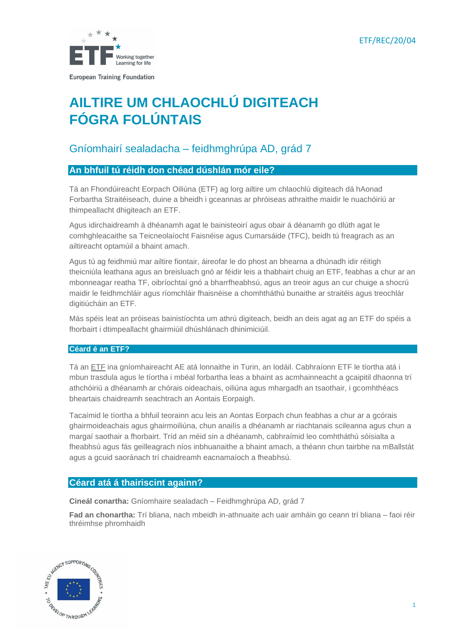

# **AILTIRE UM CHLAOCHLÚ DIGITEACH FÓGRA FOLÚNTAIS**

# Gníomhairí sealadacha – feidhmghrúpa AD, grád 7

# **An bhfuil tú réidh don chéad dúshlán mór eile?**

Tá an Fhondúireacht Eorpach Oiliúna (ETF) ag lorg ailtire um chlaochlú digiteach dá hAonad Forbartha Straitéiseach, duine a bheidh i gceannas ar phróiseas athraithe maidir le nuachóiriú ar thimpeallacht dhigiteach an ETF.

Agus idirchaidreamh á dhéanamh agat le bainisteoirí agus obair á déanamh go dlúth agat le comhghleacaithe sa Teicneolaíocht Faisnéise agus Cumarsáide (TFC), beidh tú freagrach as an ailtireacht optamúil a bhaint amach.

Agus tú ag feidhmiú mar ailtire fiontair, áireofar le do phost an bhearna a dhúnadh idir réitigh theicniúla leathana agus an breisluach gnó ar féidir leis a thabhairt chuig an ETF, feabhas a chur ar an mbonneagar reatha TF, oibríochtaí gnó a bharrfheabhsú, agus an treoir agus an cur chuige a shocrú maidir le feidhmchláir agus ríomchláir fhaisnéise a chomhtháthú bunaithe ar straitéis agus treochlár digitiúcháin an ETF.

Más spéis leat an próiseas bainistíochta um athrú digiteach, beidh an deis agat ag an ETF do spéis a fhorbairt i dtimpeallacht ghairmiúil dhúshlánach dhinimiciúil.

### **Céard é an ETF?**

Tá an ETF [ina gníomhaireacht AE](https://www.etf.europa.eu/) atá lonnaithe in Turin, an Iodáil. Cabhraíonn ETF le tíortha atá i mbun trasdula agus le tíortha i mbéal forbartha leas a bhaint as acmhainneacht a gcaipitil dhaonna trí athchóiriú a dhéanamh ar chórais oideachais, oiliúna agus mhargadh an tsaothair, i gcomhthéacs bheartais chaidreamh seachtrach an Aontais Eorpaigh.

Tacaímid le tíortha a bhfuil teorainn acu leis an Aontas Eorpach chun feabhas a chur ar a gcórais ghairmoideachais agus ghairmoiliúna, chun anailís a dhéanamh ar riachtanais scileanna agus chun a margaí saothair a fhorbairt. Tríd an méid sin a dhéanamh, cabhraímid leo comhtháthú sóisialta a fheabhsú agus fás geilleagrach níos inbhuanaithe a bhaint amach, a théann chun tairbhe na mBallstát agus a gcuid saoránach trí chaidreamh eacnamaíoch a fheabhsú.

# **Céard atá á thairiscint againn?**

**Cineál conartha:** Gníomhaire sealadach – Feidhmghrúpa AD, grád 7

**Fad an chonartha:** Trí bliana, nach mbeidh in-athnuaite ach uair amháin go ceann trí bliana – faoi réir thréimhse phromhaidh

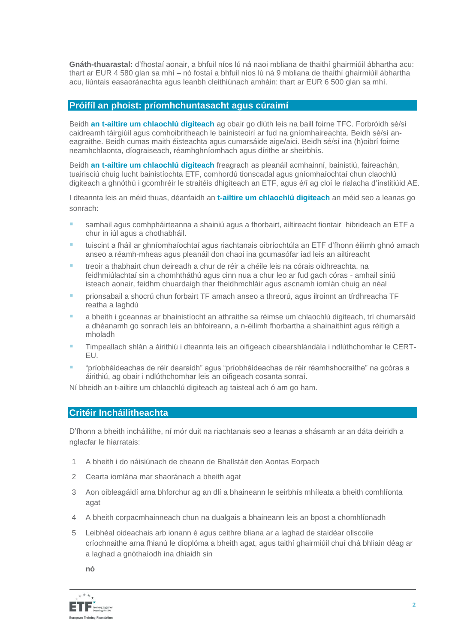**Gnáth-thuarastal:** d'fhostaí aonair, a bhfuil níos lú ná naoi mbliana de thaithí ghairmiúil ábhartha acu: thart ar EUR 4 580 glan sa mhí – nó fostaí a bhfuil níos lú ná 9 mbliana de thaithí ghairmiúil ábhartha acu, liúntais easaoránachta agus leanbh cleithiúnach amháin: thart ar EUR 6 500 glan sa mhí.

#### **Próifíl an phoist: príomhchuntasacht agus cúraimí**

Beidh **an t-ailtire um chlaochlú digiteach** ag obair go dlúth leis na baill foirne TFC. Forbróidh sé/sí caidreamh táirgiúil agus comhoibritheach le bainisteoirí ar fud na gníomhaireachta. Beidh sé/sí aneagraithe. Beidh cumas maith éisteachta agus cumarsáide aige/aici. Beidh sé/sí ina (h)oibrí foirne neamhchlaonta, díograiseach, réamhghníomhach agus dírithe ar sheirbhís.

Beidh **an t-ailtire um chlaochlú digiteach** freagrach as pleanáil acmhainní, bainistiú, faireachán, tuairisciú chuig lucht bainistíochta ETF, comhordú tionscadal agus gníomhaíochtaí chun claochlú digiteach a ghnóthú i gcomhréir le straitéis dhigiteach an ETF, agus é/í ag cloí le rialacha d'institiúid AE.

I dteannta leis an méid thuas, déanfaidh an **t-ailtire um chlaochlú digiteach** an méid seo a leanas go sonrach:

- samhail agus comhpháirteanna a shainiú agus a fhorbairt, ailtireacht fiontair hibrideach an ETF a chur in iúl agus a chothabháil.
- tuiscint a fháil ar ghníomhaíochtaí agus riachtanais oibríochtúla an ETF d'fhonn éilimh ghnó amach anseo a réamh-mheas agus pleanáil don chaoi ina gcumasófar iad leis an ailtireacht
- treoir a thabhairt chun deireadh a chur de réir a chéile leis na córais oidhreachta, na feidhmiúlachtaí sin a chomhtháthú agus cinn nua a chur leo ar fud gach córas - amhail síniú isteach aonair, feidhm chuardaigh thar fheidhmchláir agus ascnamh iomlán chuig an néal
- **·** prionsabail a shocrú chun forbairt TF amach anseo a threorú, agus ilroinnt an tírdhreacha TF reatha a laghdú
- a bheith i gceannas ar bhainistíocht an athraithe sa réimse um chlaochlú digiteach, trí chumarsáid a dhéanamh go sonrach leis an bhfoireann, a n-éilimh fhorbartha a shainaithint agus réitigh a mholadh
- Timpeallach shlán a áirithiú i dteannta leis an oifigeach cibearshlándála i ndlúthchomhar le CERT-EU.
- "príobháideachas de réir dearaidh" agus "príobháideachas de réir réamhshocraithe" na gcóras a áirithiú, ag obair i ndlúthchomhar leis an oifigeach cosanta sonraí.

Ní bheidh an t-ailtire um chlaochlú digiteach ag taisteal ach ó am go ham.

### **Critéir Incháilitheachta**

D'fhonn a bheith incháilithe, ní mór duit na riachtanais seo a leanas a shásamh ar an dáta deiridh a nglacfar le hiarratais:

- 1 A bheith i do náisiúnach de cheann de Bhallstáit den Aontas Eorpach
- 2 Cearta iomlána mar shaoránach a bheith agat
- 3 Aon oibleagáidí arna bhforchur ag an dlí a bhaineann le seirbhís mhíleata a bheith comhlíonta agat
- 4 A bheith corpacmhainneach chun na dualgais a bhaineann leis an bpost a chomhlíonadh
- 5 Leibhéal oideachais arb ionann é agus ceithre bliana ar a laghad de staidéar ollscoile críochnaithe arna fhianú le dioplóma a bheith agat, agus taithí ghairmiúil chuí dhá bhliain déag ar a laghad a gnóthaíodh ina dhiaidh sin

**nó**

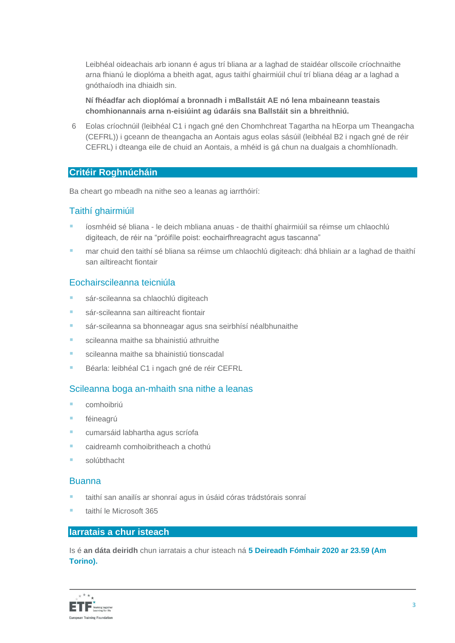Leibhéal oideachais arb ionann é agus trí bliana ar a laghad de staidéar ollscoile críochnaithe arna fhianú le dioplóma a bheith agat, agus taithí ghairmiúil chuí trí bliana déag ar a laghad a gnóthaíodh ina dhiaidh sin.

**Ní fhéadfar ach dioplómaí a bronnadh i mBallstáit AE nó lena mbaineann teastais chomhionannais arna n-eisiúint ag údaráis sna Ballstáit sin a bhreithniú.**

6 Eolas críochnúil (leibhéal C1 i ngach gné den Chomhchreat Tagartha na hEorpa um Theangacha (CEFRL)) i gceann de theangacha an Aontais agus eolas sásúil (leibhéal B2 i ngach gné de réir CEFRL) i dteanga eile de chuid an Aontais, a mhéid is gá chun na dualgais a chomhlíonadh.

### **Critéir Roghnúcháin**

Ba cheart go mbeadh na nithe seo a leanas ag iarrthóirí:

# Taithí ghairmiúil

- íosmhéid sé bliana le deich mbliana anuas de thaithí ghairmiúil sa réimse um chlaochlú digiteach, de réir na "próifíle poist: eochairfhreagracht agus tascanna"
- mar chuid den taithí sé bliana sa réimse um chlaochlú digiteach: dhá bhliain ar a laghad de thaithí san ailtireacht fiontair

# Eochairscileanna teicniúla

- sár-scileanna sa chlaochlú digiteach
- sár-scileanna san ailtireacht fiontair
- sár-scileanna sa bhonneagar agus sna seirbhísí néalbhunaithe
- scileanna maithe sa bhainistiú athruithe
- scileanna maithe sa bhainistiú tionscadal
- Béarla: leibhéal C1 i ngach gné de réir CEFRL

# Scileanna boga an-mhaith sna nithe a leanas

- comhoibriú
- féineagrú
- cumarsáid labhartha agus scríofa
- caidreamh comhoibritheach a chothú
- solúbthacht

### Buanna

- taithí san anailís ar shonraí agus in úsáid córas trádstórais sonraí
- taithí le Microsoft 365

### **Iarratais a chur isteach**

Is é **an dáta deiridh** chun iarratais a chur isteach ná **5 Deireadh Fómhair 2020 ar 23.59 (Am Torino).**

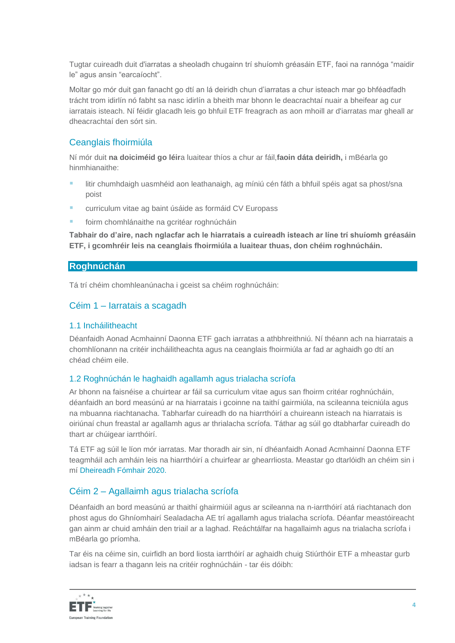Tugtar cuireadh duit d'iarratas a sheoladh chugainn trí shuíomh gréasáin ETF, faoi na rannóga "maidir le" agus ansin "earcaíocht".

Moltar go mór duit gan fanacht go dtí an lá deiridh chun d'iarratas a chur isteach mar go bhféadfadh trácht trom idirlín nó fabht sa nasc idirlín a bheith mar bhonn le deacrachtaí nuair a bheifear ag cur iarratais isteach. Ní féidir glacadh leis go bhfuil ETF freagrach as aon mhoill ar d'iarratas mar gheall ar dheacrachtaí den sórt sin.

# Ceanglais fhoirmiúla

Ní mór duit **na doiciméid go léir**a luaitear thíos a chur ar fáil,**faoin dáta deiridh,** i mBéarla go hinmhianaithe:

- litir chumhdaigh uasmhéid aon leathanaigh, ag míniú cén fáth a bhfuil spéis agat sa phost/sna poist
- curriculum vitae ag baint úsáide as [formáid CV Europass](http://europass.cedefop.europa.eu/en/documents/curriculum-vitae/templates-instructions)
- foirm chomhlánaithe na gcritéar roghnúcháin

**Tabhair do d'aire, nach nglacfar ach le hiarratais a cuireadh isteach ar líne trí shuíomh gréasáin ETF, i gcomhréir leis na ceanglais fhoirmiúla a luaitear thuas, don chéim roghnúcháin.**

### **Roghnúchán**

Tá trí chéim chomhleanúnacha i gceist sa chéim roghnúcháin:

# Céim 1 – Iarratais a scagadh

### 1.1 Incháilitheacht

Déanfaidh Aonad Acmhainní Daonna ETF gach iarratas a athbhreithniú. Ní théann ach na hiarratais a chomhlíonann na critéir incháilitheachta agus na ceanglais fhoirmiúla ar fad ar aghaidh go dtí an chéad chéim eile.

### 1.2 Roghnúchán le haghaidh agallamh agus trialacha scríofa

Ar bhonn na faisnéise a chuirtear ar fáil sa curriculum vitae agus san fhoirm critéar roghnúcháin, déanfaidh an bord measúnú ar na hiarratais i gcoinne na taithí gairmiúla, na scileanna teicniúla agus na mbuanna riachtanacha. Tabharfar cuireadh do na hiarrthóirí a chuireann isteach na hiarratais is oiriúnaí chun freastal ar agallamh agus ar thrialacha scríofa. Táthar ag súil go dtabharfar cuireadh do thart ar chúigear iarrthóirí.

Tá ETF ag súil le líon mór iarratas. Mar thoradh air sin, ní dhéanfaidh Aonad Acmhainní Daonna ETF teagmháil ach amháin leis na hiarrthóirí a chuirfear ar ghearrliosta. Meastar go dtarlóidh an chéim sin i mí Dheireadh Fómhair 2020.

# Céim 2 – Agallaimh agus trialacha scríofa

Déanfaidh an bord measúnú ar thaithí ghairmiúil agus ar scileanna na n-iarrthóirí atá riachtanach don phost agus do Ghníomhairí Sealadacha AE trí agallamh agus trialacha scríofa. Déanfar meastóireacht gan ainm ar chuid amháin den triail ar a laghad. Reáchtálfar na hagallaimh agus na trialacha scríofa i mBéarla go príomha.

Tar éis na céime sin, cuirfidh an bord liosta iarrthóirí ar aghaidh chuig Stiúrthóir ETF a mheastar gurb iadsan is fearr a thagann leis na critéir roghnúcháin - tar éis dóibh:

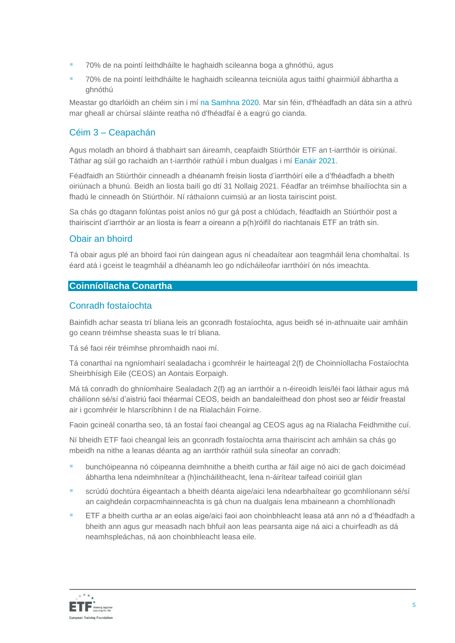- 70% de na pointí leithdháilte le haghaidh scileanna boga a ghnóthú, agus
- 70% de na pointí leithdháilte le haghaidh scileanna teicniúla agus taithí ghairmiúil ábhartha a ghnóthú

Meastar go dtarlóidh an chéim sin i mí na Samhna 2020. Mar sin féin, d'fhéadfadh an dáta sin a athrú mar gheall ar chúrsaí sláinte reatha nó d'fhéadfaí é a eagrú go cianda.

# Céim 3 – Ceapachán

Agus moladh an bhoird á thabhairt san áireamh, ceapfaidh Stiúrthóir ETF an t-iarrthóir is oiriúnaí. Táthar ag súil go rachaidh an t-iarrthóir rathúil i mbun dualgas i mí Eanáir 2021.

Féadfaidh an Stiúrthóir cinneadh a dhéanamh freisin liosta d'iarrthóirí eile a d'fhéadfadh a bheith oiriúnach a bhunú. Beidh an liosta bailí go dtí 31 Nollaig 2021. Féadfar an tréimhse bhailíochta sin a fhadú le cinneadh ón Stiúrthóir. Ní ráthaíonn cuimsiú ar an liosta tairiscint poist.

Sa chás go dtagann folúntas poist aníos nó gur gá post a chlúdach, féadfaidh an Stiúrthóir post a thairiscint d'iarrthóir ar an liosta is fearr a oireann a p(h)róifíl do riachtanais ETF an tráth sin.

### Obair an bhoird

Tá obair agus plé an bhoird faoi rún daingean agus ní cheadaítear aon teagmháil lena chomhaltaí. Is éard atá i gceist le teagmháil a dhéanamh leo go ndícháileofar iarrthóirí ón nós imeachta.

### **Coinníollacha Conartha**

### Conradh fostaíochta

Bainfidh achar seasta trí bliana leis an gconradh fostaíochta, agus beidh sé in-athnuaite uair amháin go ceann tréimhse sheasta suas le trí bliana.

Tá sé faoi réir tréimhse phromhaidh naoi mí.

Tá conarthaí na ngníomhairí sealadacha i gcomhréir le hairteagal 2(f) de Choinníollacha Fostaíochta Sheirbhísigh Eile (CEOS) an Aontais Eorpaigh.

Má tá conradh do ghníomhaire Sealadach 2(f) ag an iarrthóir a n-éireoidh leis/léi faoi láthair agus má cháilíonn sé/sí d'aistriú faoi théarmaí CEOS, beidh an bandaleithead don phost seo ar féidir freastal air i gcomhréir le hIarscríbhinn I de na Rialacháin Foirne.

Faoin gcineál conartha seo, tá an fostaí faoi cheangal ag CEOS agus ag na Rialacha Feidhmithe cuí.

Ní bheidh ETF faoi cheangal leis an gconradh fostaíochta arna thairiscint ach amháin sa chás go mbeidh na nithe a leanas déanta ag an iarrthóir rathúil sula síneofar an conradh:

- bunchóipeanna nó cóipeanna deimhnithe a bheith curtha ar fáil aige nó aici de gach doiciméad ábhartha lena ndeimhnítear a (h)incháilitheacht, lena n-áirítear taifead coiriúil glan
- scrúdú dochtúra éigeantach a bheith déanta aige/aici lena ndearbhaítear go gcomhlíonann sé/sí an caighdeán corpacmhainneachta is gá chun na dualgais lena mbaineann a chomhlíonadh
- ETF a bheith curtha ar an eolas aige/aici faoi aon choinbhleacht leasa atá ann nó a d'fhéadfadh a bheith ann agus gur measadh nach bhfuil aon leas pearsanta aige ná aici a chuirfeadh as dá neamhspleáchas, ná aon choinbhleacht leasa eile.